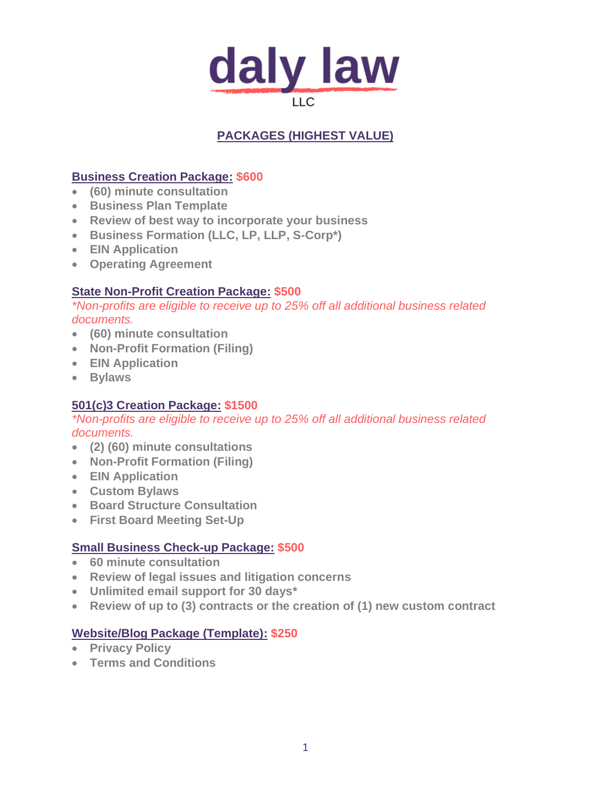

# **PACKAGES (HIGHEST VALUE)**

## **Business Creation Package: \$600**

- **(60) minute consultation**
- **Business Plan Template**
- **Review of best way to incorporate your business**
- **Business Formation (LLC, LP, LLP, S-Corp\*)**
- **EIN Application**
- **Operating Agreement**

## **State Non-Profit Creation Package: \$500**

*\*Non-profits are eligible to receive up to 25% off all additional business related documents.* 

- **(60) minute consultation**
- **Non-Profit Formation (Filing)**
- **EIN Application**
- **Bylaws**

## **501(c)3 Creation Package: \$1500**

*\*Non-profits are eligible to receive up to 25% off all additional business related documents.* 

- **(2) (60) minute consultations**
- **Non-Profit Formation (Filing)**
- **EIN Application**
- **Custom Bylaws**
- **Board Structure Consultation**
- **First Board Meeting Set-Up**

## **Small Business Check-up Package: \$500**

- **60 minute consultation**
- **Review of legal issues and litigation concerns**
- **Unlimited email support for 30 days\***
- **Review of up to (3) contracts or the creation of (1) new custom contract**

## **Website/Blog Package (Template): \$250**

- **Privacy Policy**
- **Terms and Conditions**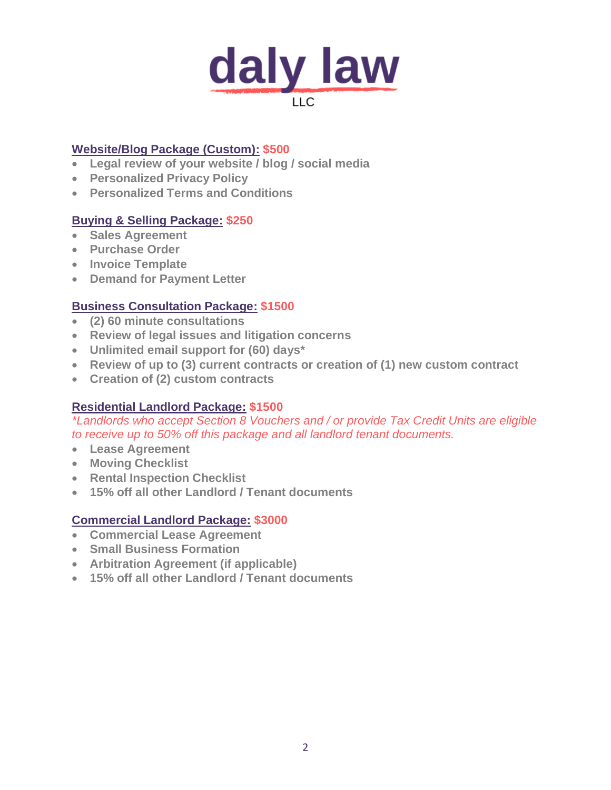

#### **Website/Blog Package (Custom): \$500**

- **Legal review of your website / blog / social media**
- **Personalized Privacy Policy**
- **Personalized Terms and Conditions**

## **Buying & Selling Package: \$250**

- **Sales Agreement**
- **Purchase Order**
- **Invoice Template**
- **Demand for Payment Letter**

## **Business Consultation Package: \$1500**

- **(2) 60 minute consultations**
- **Review of legal issues and litigation concerns**
- **Unlimited email support for (60) days\***
- **Review of up to (3) current contracts or creation of (1) new custom contract**
- **Creation of (2) custom contracts**

## **Residential Landlord Package: \$1500**

*\*Landlords who accept Section 8 Vouchers and / or provide Tax Credit Units are eligible to receive up to 50% off this package and all landlord tenant documents.*

- **Lease Agreement**
- **Moving Checklist**
- **Rental Inspection Checklist**
- **15% off all other Landlord / Tenant documents**

## **Commercial Landlord Package: \$3000**

- **Commercial Lease Agreement**
- **Small Business Formation**
- **Arbitration Agreement (if applicable)**
- **15% off all other Landlord / Tenant documents**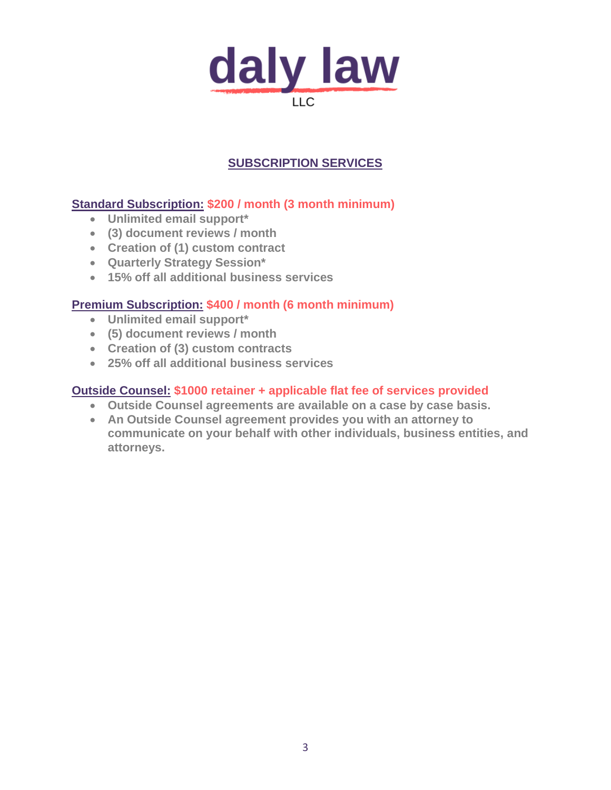

## **SUBSCRIPTION SERVICES**

## **Standard Subscription: \$200 / month (3 month minimum)**

- **Unlimited email support\***
- **(3) document reviews / month**
- **Creation of (1) custom contract**
- **Quarterly Strategy Session\***
- **15% off all additional business services**

## **Premium Subscription: \$400 / month (6 month minimum)**

- **Unlimited email support\***
- **(5) document reviews / month**
- **Creation of (3) custom contracts**
- **25% off all additional business services**

#### **Outside Counsel: \$1000 retainer + applicable flat fee of services provided**

- **Outside Counsel agreements are available on a case by case basis.**
- **An Outside Counsel agreement provides you with an attorney to communicate on your behalf with other individuals, business entities, and attorneys.**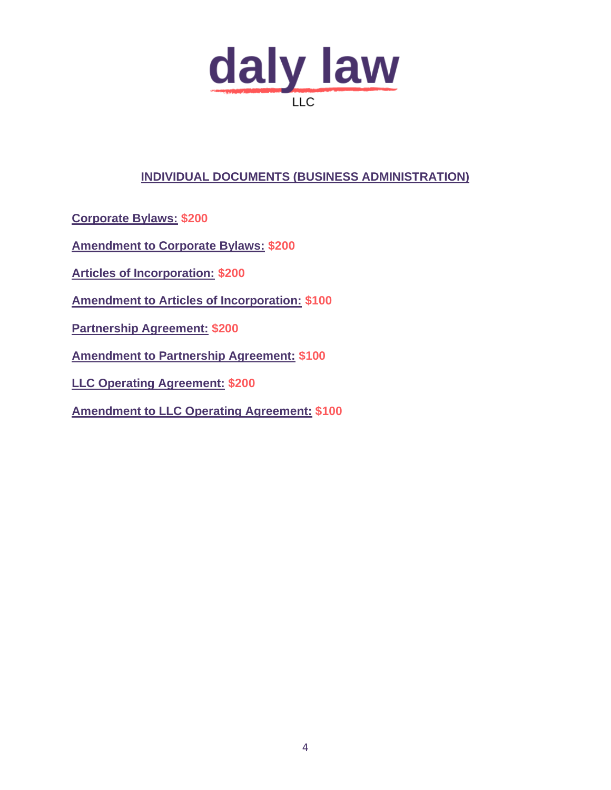

## **INDIVIDUAL DOCUMENTS (BUSINESS ADMINISTRATION)**

**Corporate Bylaws: \$200**

**Amendment to Corporate Bylaws: \$200** 

**Articles of Incorporation: \$200**

**Amendment to Articles of Incorporation: \$100**

**Partnership Agreement: \$200**

**Amendment to Partnership Agreement: \$100**

**LLC Operating Agreement: \$200**

**Amendment to LLC Operating Agreement: \$100**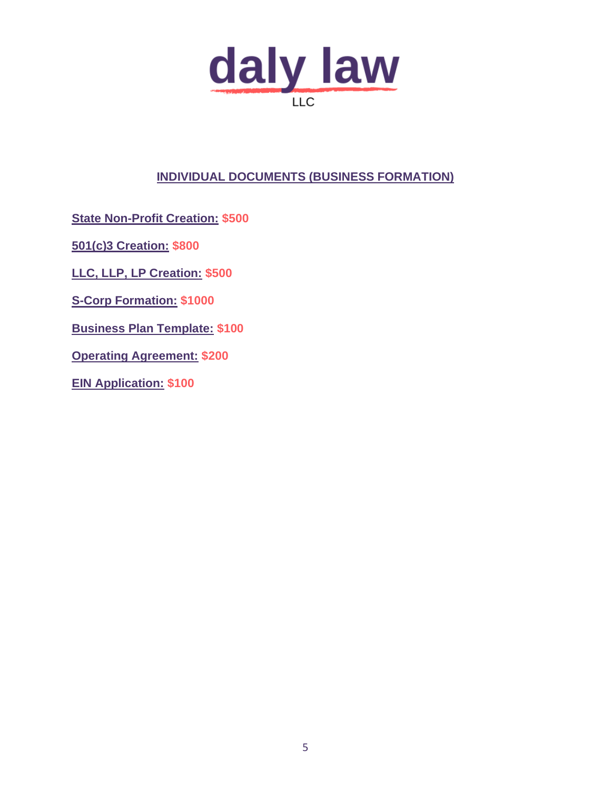

## **INDIVIDUAL DOCUMENTS (BUSINESS FORMATION)**

**State Non-Profit Creation: \$500**

**501(c)3 Creation: \$800**

**LLC, LLP, LP Creation: \$500**

**S-Corp Formation: \$1000**

**Business Plan Template: \$100**

**Operating Agreement: \$200**

**EIN Application: \$100**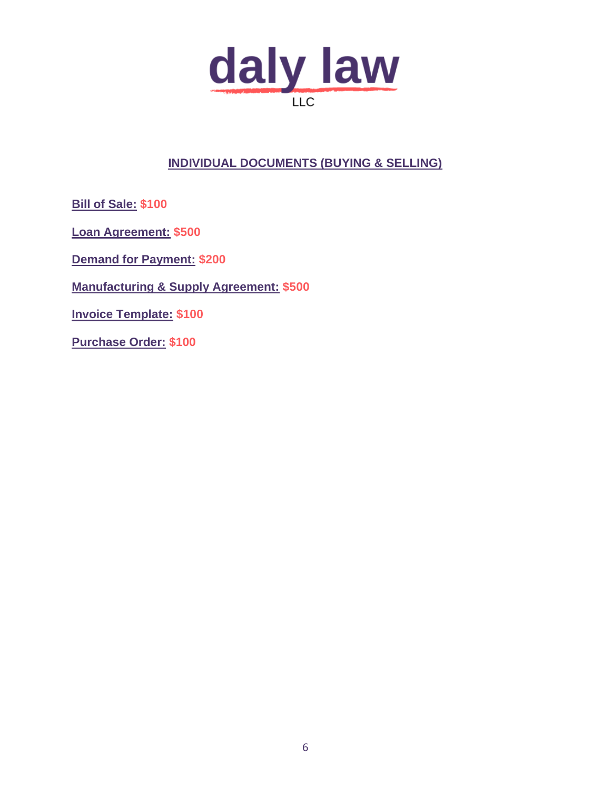

## **INDIVIDUAL DOCUMENTS (BUYING & SELLING)**

**Bill of Sale: \$100** 

**Loan Agreement: \$500**

**Demand for Payment: \$200**

**Manufacturing & Supply Agreement: \$500**

**Invoice Template: \$100**

**Purchase Order: \$100**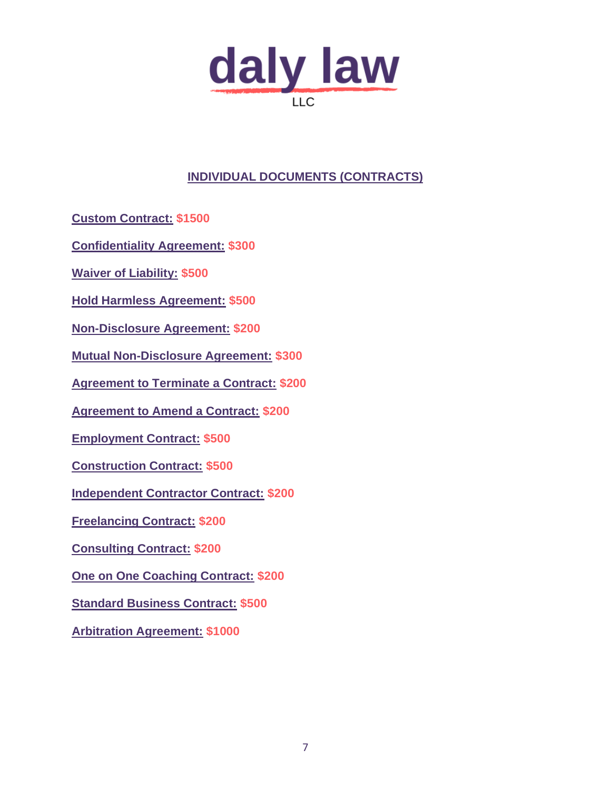

## **INDIVIDUAL DOCUMENTS (CONTRACTS)**

**Custom Contract: \$1500**

**Confidentiality Agreement: \$300**

**Waiver of Liability: \$500**

**Hold Harmless Agreement: \$500**

**Non-Disclosure Agreement: \$200**

**Mutual Non-Disclosure Agreement: \$300**

**Agreement to Terminate a Contract: \$200**

**Agreement to Amend a Contract: \$200**

**Employment Contract: \$500**

**Construction Contract: \$500**

**Independent Contractor Contract: \$200**

**Freelancing Contract: \$200**

**Consulting Contract: \$200**

**One on One Coaching Contract: \$200**

**Standard Business Contract: \$500**

**Arbitration Agreement: \$1000**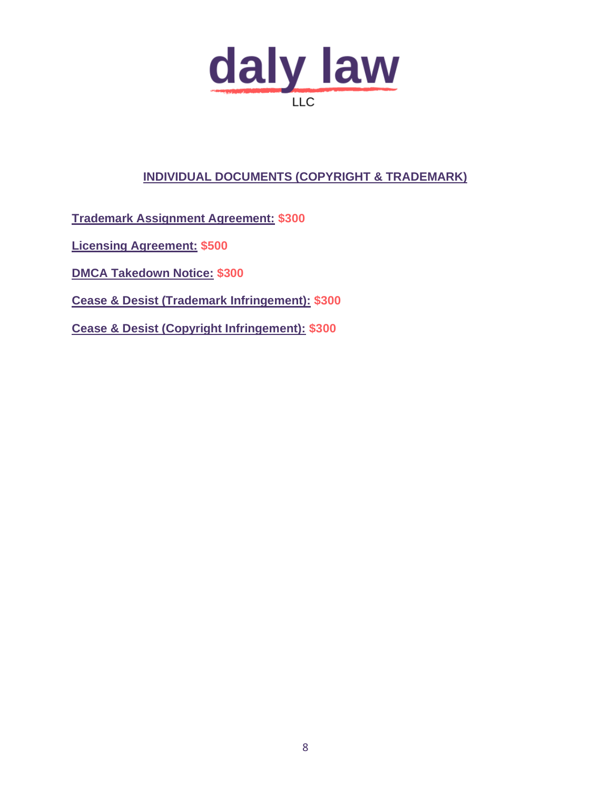

# **INDIVIDUAL DOCUMENTS (COPYRIGHT & TRADEMARK)**

**Trademark Assignment Agreement: \$300**

**Licensing Agreement: \$500**

**DMCA Takedown Notice: \$300**

**Cease & Desist (Trademark Infringement): \$300**

**Cease & Desist (Copyright Infringement): \$300**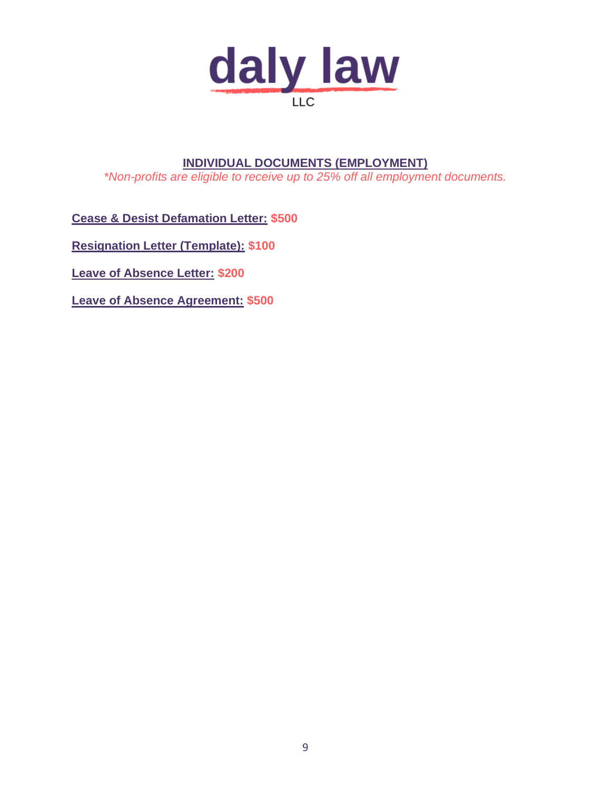

## **INDIVIDUAL DOCUMENTS (EMPLOYMENT)** *\*Non-profits are eligible to receive up to 25% off all employment documents.*

**Cease & Desist Defamation Letter: \$500**

**Resignation Letter (Template): \$100**

**Leave of Absence Letter: \$200**

**Leave of Absence Agreement: \$500**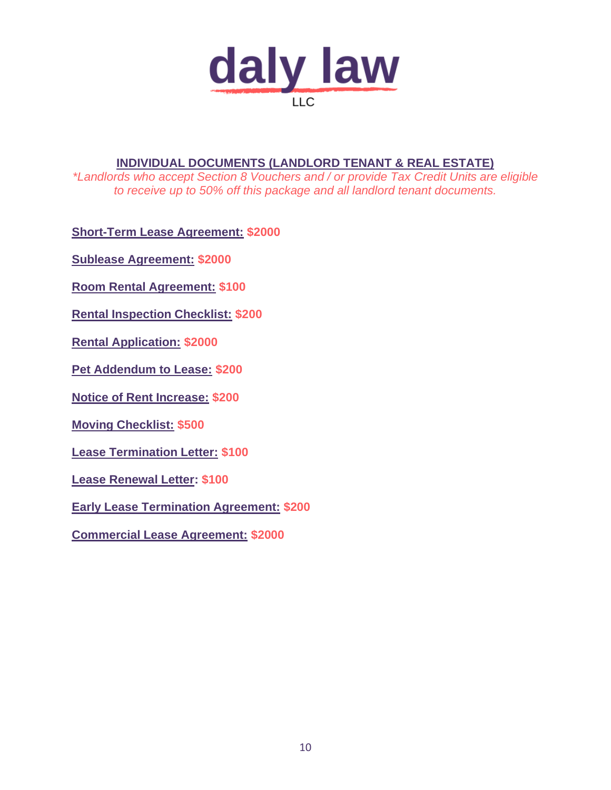

## **INDIVIDUAL DOCUMENTS (LANDLORD TENANT & REAL ESTATE)**

*\*Landlords who accept Section 8 Vouchers and / or provide Tax Credit Units are eligible to receive up to 50% off this package and all landlord tenant documents.*

**Short-Term Lease Agreement: \$2000**

**Sublease Agreement: \$2000**

**Room Rental Agreement: \$100**

**Rental Inspection Checklist: \$200**

**Rental Application: \$2000**

**Pet Addendum to Lease: \$200**

**Notice of Rent Increase: \$200**

**Moving Checklist: \$500**

**Lease Termination Letter: \$100**

**Lease Renewal Letter: \$100**

**Early Lease Termination Agreement: \$200**

**Commercial Lease Agreement: \$2000**